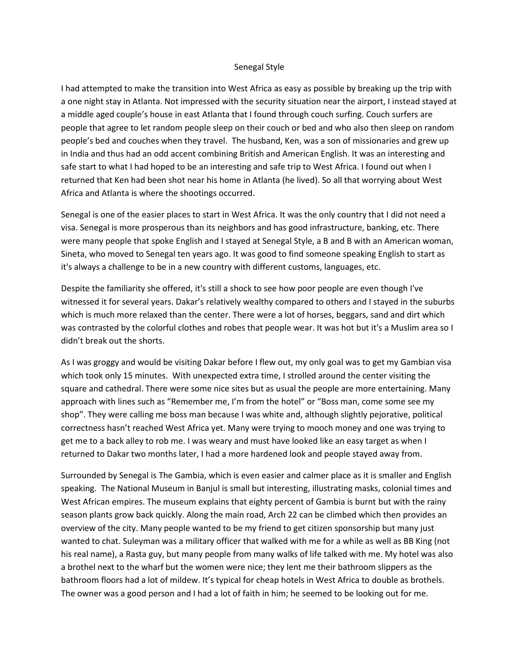## Senegal Style

I had attempted to make the transition into West Africa as easy as possible by breaking up the trip with a one night stay in Atlanta. Not impressed with the security situation near the airport, I instead stayed at a middle aged couple's house in east Atlanta that I found through couch surfing. Couch surfers are people that agree to let random people sleep on their couch or bed and who also then sleep on random people's bed and couches when they travel. The husband, Ken, was a son of missionaries and grew up in India and thus had an odd accent combining British and American English. It was an interesting and safe start to what I had hoped to be an interesting and safe trip to West Africa. I found out when I returned that Ken had been shot near his home in Atlanta (he lived). So all that worrying about West Africa and Atlanta is where the shootings occurred.

Senegal is one of the easier places to start in West Africa. It was the only country that I did not need a visa. Senegal is more prosperous than its neighbors and has good infrastructure, banking, etc. There were many people that spoke English and I stayed at Senegal Style, a B and B with an American woman, Sineta, who moved to Senegal ten years ago. It was good to find someone speaking English to start as it's always a challenge to be in a new country with different customs, languages, etc.

Despite the familiarity she offered, it's still a shock to see how poor people are even though I've witnessed it for several years. Dakar's relatively wealthy compared to others and I stayed in the suburbs which is much more relaxed than the center. There were a lot of horses, beggars, sand and dirt which was contrasted by the colorful clothes and robes that people wear. It was hot but it's a Muslim area so I didn't break out the shorts.

As I was groggy and would be visiting Dakar before I flew out, my only goal was to get my Gambian visa which took only 15 minutes. With unexpected extra time, I strolled around the center visiting the square and cathedral. There were some nice sites but as usual the people are more entertaining. Many approach with lines such as "Remember me, I'm from the hotel" or "Boss man, come some see my shop". They were calling me boss man because I was white and, although slightly pejorative, political correctness hasn't reached West Africa yet. Many were trying to mooch money and one was trying to get me to a back alley to rob me. I was weary and must have looked like an easy target as when I returned to Dakar two months later, I had a more hardened look and people stayed away from.

Surrounded by Senegal is The Gambia, which is even easier and calmer place as it is smaller and English speaking. The National Museum in Banjul is small but interesting, illustrating masks, colonial times and West African empires. The museum explains that eighty percent of Gambia is burnt but with the rainy season plants grow back quickly. Along the main road, Arch 22 can be climbed which then provides an overview of the city. Many people wanted to be my friend to get citizen sponsorship but many just wanted to chat. Suleyman was a military officer that walked with me for a while as well as BB King (not his real name), a Rasta guy, but many people from many walks of life talked with me. My hotel was also a brothel next to the wharf but the women were nice; they lent me their bathroom slippers as the bathroom floors had a lot of mildew. It's typical for cheap hotels in West Africa to double as brothels. The owner was a good person and I had a lot of faith in him; he seemed to be looking out for me.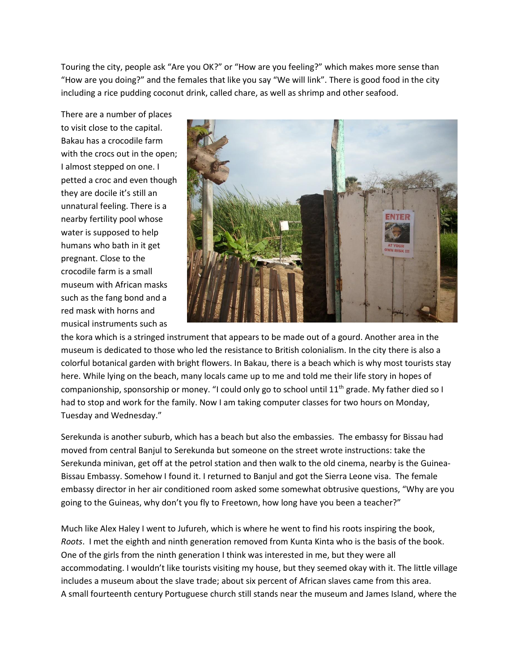Touring the city, people ask "Are you OK?" or "How are you feeling?" which makes more sense than "How are you doing?" and the females that like you say "We will link". There is good food in the city including a rice pudding coconut drink, called chare, as well as shrimp and other seafood.

There are a number of places to visit close to the capital. Bakau has a crocodile farm with the crocs out in the open; I almost stepped on one. I petted a croc and even though they are docile it's still an unnatural feeling. There is a nearby fertility pool whose water is supposed to help humans who bath in it get pregnant. Close to the crocodile farm is a small museum with African masks such as the fang bond and a red mask with horns and musical instruments such as



the kora which is a stringed instrument that appears to be made out of a gourd. Another area in the museum is dedicated to those who led the resistance to British colonialism. In the city there is also a colorful botanical garden with bright flowers. In Bakau, there is a beach which is why most tourists stay here. While lying on the beach, many locals came up to me and told me their life story in hopes of companionship, sponsorship or money. "I could only go to school until 11<sup>th</sup> grade. My father died so I had to stop and work for the family. Now I am taking computer classes for two hours on Monday, Tuesday and Wednesday."

Serekunda is another suburb, which has a beach but also the embassies. The embassy for Bissau had moved from central Banjul to Serekunda but someone on the street wrote instructions: take the Serekunda minivan, get off at the petrol station and then walk to the old cinema, nearby is the Guinea-Bissau Embassy. Somehow I found it. I returned to Banjul and got the Sierra Leone visa. The female embassy director in her air conditioned room asked some somewhat obtrusive questions, "Why are you going to the Guineas, why don't you fly to Freetown, how long have you been a teacher?"

Much like Alex Haley I went to Jufureh, which is where he went to find his roots inspiring the book, *Roots*. I met the eighth and ninth generation removed from Kunta Kinta who is the basis of the book. One of the girls from the ninth generation I think was interested in me, but they were all accommodating. I wouldn't like tourists visiting my house, but they seemed okay with it. The little village includes a museum about the slave trade; about six percent of African slaves came from this area. A small fourteenth century Portuguese church still stands near the museum and James Island, where the